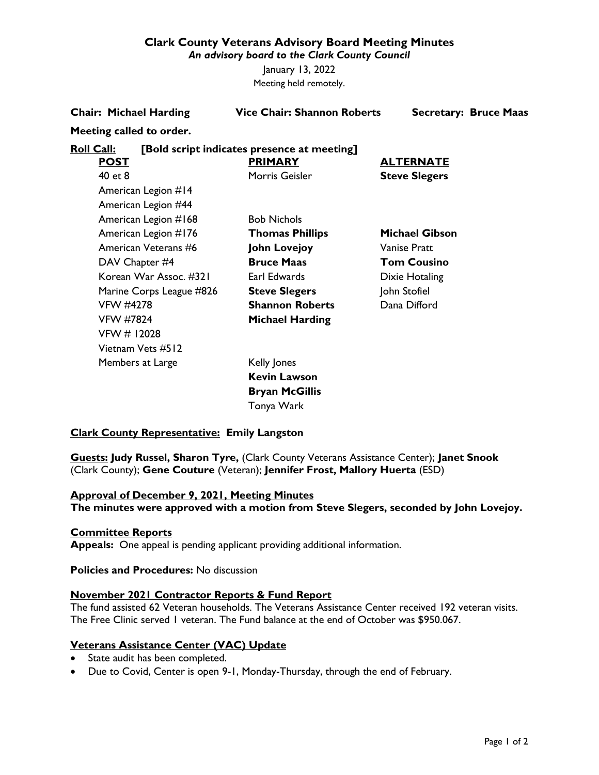## **Clark County Veterans Advisory Board Meeting Minutes**

*An advisory board to the Clark County Council*

January 13, 2022 Meeting held remotely.

|                   | <b>Chair: Michael Harding</b> | <b>Vice Chair: Shannon Roberts</b>          | <b>Secretary: Bruce Maas</b> |
|-------------------|-------------------------------|---------------------------------------------|------------------------------|
|                   | Meeting called to order.      |                                             |                              |
| <b>Roll Call:</b> |                               | [Bold script indicates presence at meeting] |                              |
|                   | <u>POST</u>                   | <b>PRIMARY</b>                              | <b>ALTERNATE</b>             |
|                   | 40 et 8                       | Morris Geisler                              | <b>Steve Slegers</b>         |
|                   | American Legion #14           |                                             |                              |
|                   | American Legion #44           |                                             |                              |
|                   | American Legion #168          | <b>Bob Nichols</b>                          |                              |
|                   | American Legion #176          | <b>Thomas Phillips</b>                      | <b>Michael Gibson</b>        |
|                   | American Veterans #6          | <b>John Lovejoy</b>                         | <b>Vanise Pratt</b>          |
|                   | DAV Chapter #4                | <b>Bruce Maas</b>                           | <b>Tom Cousino</b>           |
|                   | Korean War Assoc. #321        | Earl Edwards                                | Dixie Hotaling               |
|                   | Marine Corps League #826      | <b>Steve Slegers</b>                        | John Stofiel                 |
|                   | <b>VFW #4278</b>              | <b>Shannon Roberts</b>                      | Dana Difford                 |
|                   | <b>VFW #7824</b>              | <b>Michael Harding</b>                      |                              |
|                   | VFW # 12028                   |                                             |                              |
|                   | Vietnam Vets #512             |                                             |                              |
|                   | Members at Large              | Kelly Jones                                 |                              |
|                   |                               | <b>Kevin Lawson</b>                         |                              |
|                   |                               | <b>Bryan McGillis</b>                       |                              |

### **Clark County Representative: Emily Langston**

**Guests: Judy Russel, Sharon Tyre,** (Clark County Veterans Assistance Center); **Janet Snook** (Clark County); **Gene Couture** (Veteran); **Jennifer Frost, Mallory Huerta** (ESD)

Tonya Wark

#### **Approval of December 9, 2021, Meeting Minutes**

**The minutes were approved with a motion from Steve Slegers, seconded by John Lovejoy.**

### **Committee Reports**

**Appeals:** One appeal is pending applicant providing additional information.

# **Policies and Procedures:** No discussion

### **November 2021 Contractor Reports & Fund Report**

The fund assisted 62 Veteran households. The Veterans Assistance Center received 192 veteran visits. The Free Clinic served 1 veteran. The Fund balance at the end of October was \$950.067.

#### **Veterans Assistance Center (VAC) Update**

- State audit has been completed.
- Due to Covid, Center is open 9-1, Monday-Thursday, through the end of February.